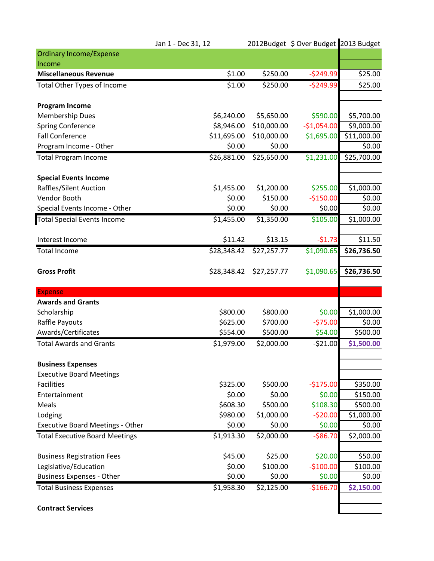|                                         | Jan 1 - Dec 31, 12 |             | 2012Budget \$ Over Budget 2013 Budget |             |
|-----------------------------------------|--------------------|-------------|---------------------------------------|-------------|
| <b>Ordinary Income/Expense</b>          |                    |             |                                       |             |
| Income                                  |                    |             |                                       |             |
| <b>Miscellaneous Revenue</b>            | \$1.00             | \$250.00    | $-5249.99$                            | \$25.00     |
| Total Other Types of Income             | \$1.00             | \$250.00    | $-5249.99$                            | \$25.00     |
| <b>Program Income</b>                   |                    |             |                                       |             |
| <b>Membership Dues</b>                  | \$6,240.00         | \$5,650.00  | \$590.00                              | \$5,700.00  |
| Spring Conference                       | \$8,946.00         | \$10,000.00 | $-$1,054.00$                          | \$9,000.00  |
| <b>Fall Conference</b>                  | \$11,695.00        | \$10,000.00 | \$1,695.00                            | \$11,000.00 |
| Program Income - Other                  | \$0.00             | \$0.00      |                                       | \$0.00      |
| <b>Total Program Income</b>             | \$26,881.00        | \$25,650.00 | \$1,231.00                            | \$25,700.00 |
| <b>Special Events Income</b>            |                    |             |                                       |             |
| Raffles/Silent Auction                  | \$1,455.00         | \$1,200.00  | \$255.00                              | \$1,000.00  |
| Vendor Booth                            | \$0.00             | \$150.00    | $-$150.00$                            | \$0.00      |
| Special Events Income - Other           | \$0.00             | \$0.00      | \$0.00                                | \$0.00      |
| <b>Total Special Events Income</b>      | \$1,455.00         | \$1,350.00  | $\overline{5}105.00$                  | \$1,000.00  |
| Interest Income                         | \$11.42            | \$13.15     | $-51.73$                              | \$11.50     |
| <b>Total Income</b>                     | \$28,348.42        | \$27,257.77 | \$1,090.65                            | \$26,736.50 |
| <b>Gross Profit</b>                     | \$28,348.42        | \$27,257.77 | \$1,090.65                            | \$26,736.50 |
| <b>Expense</b>                          |                    |             |                                       |             |
| <b>Awards and Grants</b>                |                    |             |                                       |             |
| Scholarship                             | \$800.00           | \$800.00    | \$0.00                                | \$1,000.00  |
| Raffle Payouts                          | \$625.00           | \$700.00    | $-575.00$                             | \$0.00      |
| Awards/Certificates                     | \$554.00           | \$500.00    | \$54.00                               | \$500.00    |
| <b>Total Awards and Grants</b>          | \$1,979.00         | \$2,000.00  | $-521.00$                             | \$1,500.00  |
| <b>Business Expenses</b>                |                    |             |                                       |             |
| <b>Executive Board Meetings</b>         |                    |             |                                       |             |
| <b>Facilities</b>                       | \$325.00           | \$500.00    | $-$175.00$                            | \$350.00    |
| Entertainment                           | \$0.00             | \$0.00      | \$0.00                                | \$150.00    |
| Meals                                   | \$608.30           | \$500.00    | \$108.30                              | \$500.00    |
| Lodging                                 | \$980.00           | \$1,000.00  | $-520.00$                             | \$1,000.00  |
| <b>Executive Board Meetings - Other</b> | \$0.00             | \$0.00      | \$0.00                                | \$0.00      |
| <b>Total Executive Board Meetings</b>   | \$1,913.30         | \$2,000.00  | $-586.70$                             | \$2,000.00  |
| <b>Business Registration Fees</b>       | \$45.00            | \$25.00     | \$20.00                               | \$50.00     |
| Legislative/Education                   | \$0.00             | \$100.00    | $-$100.00$                            | \$100.00    |
| <b>Business Expenses - Other</b>        | \$0.00             | \$0.00      | \$0.00                                | \$0.00      |
| <b>Total Business Expenses</b>          | \$1,958.30         | \$2,125.00  | $-$166.70$                            | \$2,150.00  |
| <b>Contract Services</b>                |                    |             |                                       |             |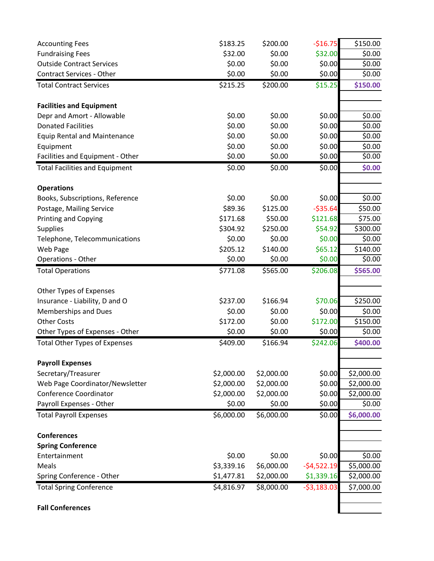| \$0.00<br>\$6,000.00<br>\$2,000.00<br>\$8,000.00 | \$0.00<br>$-54,522.19$<br>\$1,339.16<br>$-53,183.03$                                                                                                                                          | \$0.00<br>\$5,000.00<br>\$2,000.00<br>\$7,000.00                                                                                                                                                        |
|--------------------------------------------------|-----------------------------------------------------------------------------------------------------------------------------------------------------------------------------------------------|---------------------------------------------------------------------------------------------------------------------------------------------------------------------------------------------------------|
|                                                  |                                                                                                                                                                                               |                                                                                                                                                                                                         |
|                                                  |                                                                                                                                                                                               |                                                                                                                                                                                                         |
|                                                  |                                                                                                                                                                                               |                                                                                                                                                                                                         |
|                                                  |                                                                                                                                                                                               |                                                                                                                                                                                                         |
|                                                  |                                                                                                                                                                                               |                                                                                                                                                                                                         |
|                                                  |                                                                                                                                                                                               |                                                                                                                                                                                                         |
|                                                  |                                                                                                                                                                                               |                                                                                                                                                                                                         |
| \$6,000.00                                       |                                                                                                                                                                                               | \$6,000.00                                                                                                                                                                                              |
|                                                  |                                                                                                                                                                                               | \$0.00                                                                                                                                                                                                  |
|                                                  |                                                                                                                                                                                               | \$2,000.00                                                                                                                                                                                              |
|                                                  |                                                                                                                                                                                               | \$2,000.00                                                                                                                                                                                              |
|                                                  |                                                                                                                                                                                               | \$2,000.00                                                                                                                                                                                              |
|                                                  |                                                                                                                                                                                               |                                                                                                                                                                                                         |
|                                                  |                                                                                                                                                                                               | \$400.00                                                                                                                                                                                                |
|                                                  |                                                                                                                                                                                               | \$0.00                                                                                                                                                                                                  |
|                                                  |                                                                                                                                                                                               | \$150.00                                                                                                                                                                                                |
|                                                  |                                                                                                                                                                                               | \$0.00                                                                                                                                                                                                  |
|                                                  |                                                                                                                                                                                               | \$250.00                                                                                                                                                                                                |
|                                                  |                                                                                                                                                                                               |                                                                                                                                                                                                         |
| \$565.00                                         | \$206.08                                                                                                                                                                                      | \$565.00                                                                                                                                                                                                |
| \$0.00                                           | \$0.00                                                                                                                                                                                        | \$0.00                                                                                                                                                                                                  |
| \$140.00                                         | \$65.12                                                                                                                                                                                       | \$140.00                                                                                                                                                                                                |
| \$0.00                                           |                                                                                                                                                                                               | \$0.00                                                                                                                                                                                                  |
|                                                  |                                                                                                                                                                                               | \$300.00                                                                                                                                                                                                |
|                                                  |                                                                                                                                                                                               | \$75.00                                                                                                                                                                                                 |
|                                                  |                                                                                                                                                                                               | \$50.00                                                                                                                                                                                                 |
|                                                  |                                                                                                                                                                                               | \$0.00                                                                                                                                                                                                  |
|                                                  |                                                                                                                                                                                               |                                                                                                                                                                                                         |
| \$0.00                                           | \$0.00                                                                                                                                                                                        | \$0.00                                                                                                                                                                                                  |
| \$0.00                                           | \$0.00                                                                                                                                                                                        | \$0.00                                                                                                                                                                                                  |
| \$0.00                                           | \$0.00                                                                                                                                                                                        | \$0.00                                                                                                                                                                                                  |
| \$0.00                                           | \$0.00                                                                                                                                                                                        | \$0.00                                                                                                                                                                                                  |
| \$0.00                                           | \$0.00                                                                                                                                                                                        | \$0.00                                                                                                                                                                                                  |
| \$0.00                                           | \$0.00                                                                                                                                                                                        | \$0.00                                                                                                                                                                                                  |
|                                                  |                                                                                                                                                                                               |                                                                                                                                                                                                         |
|                                                  |                                                                                                                                                                                               | \$150.00                                                                                                                                                                                                |
|                                                  |                                                                                                                                                                                               | \$0.00                                                                                                                                                                                                  |
|                                                  |                                                                                                                                                                                               | \$0.00                                                                                                                                                                                                  |
|                                                  |                                                                                                                                                                                               | \$0.00                                                                                                                                                                                                  |
| \$200.00                                         | $-$16.75$                                                                                                                                                                                     | \$150.00                                                                                                                                                                                                |
|                                                  | \$0.00<br>\$0.00<br>\$0.00<br>\$200.00<br>\$0.00<br>\$125.00<br>\$50.00<br>\$250.00<br>\$166.94<br>\$0.00<br>\$0.00<br>\$0.00<br>\$166.94<br>\$2,000.00<br>\$2,000.00<br>\$2,000.00<br>\$0.00 | \$32.00<br>\$0.00<br>\$0.00<br>\$15.25<br>\$0.00<br>$-535.64$<br>\$121.68<br>\$54.92<br>\$0.00<br>\$70.06<br>\$0.00<br>\$172.00<br>\$0.00<br>\$242.06<br>\$0.00<br>\$0.00<br>\$0.00<br>\$0.00<br>\$0.00 |